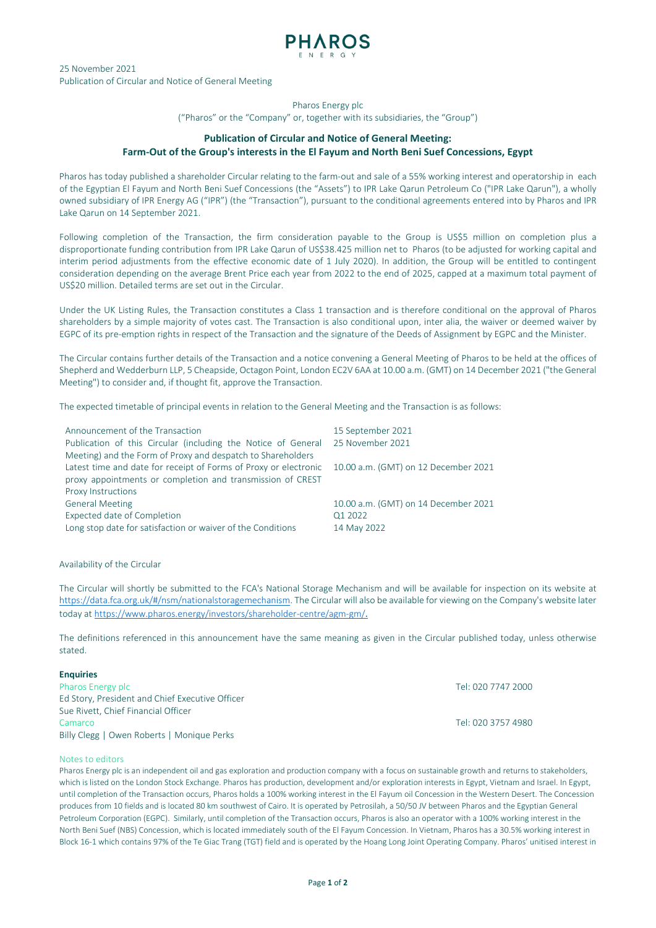

25 November 2021 Publication of Circular and Notice of General Meeting

# Pharos Energy plc

("Pharos" or the "Company" or, together with its subsidiaries, the "Group")

# **Publication of Circular and Notice of General Meeting: Farm-Out of the Group's interests in the El Fayum and North Beni Suef Concessions, Egypt**

Pharos has today published a shareholder Circular relating to the farm-out and sale of a 55% working interest and operatorship in each of the Egyptian El Fayum and North Beni Suef Concessions (the "Assets") to IPR Lake Qarun Petroleum Co ("IPR Lake Qarun"), a wholly owned subsidiary of IPR Energy AG ("IPR") (the "Transaction"), pursuant to the conditional agreements entered into by Pharos and IPR Lake Qarun on 14 September 2021.

Following completion of the Transaction, the firm consideration payable to the Group is US\$5 million on completion plus a disproportionate funding contribution from IPR Lake Qarun of US\$38.425 million net to Pharos (to be adjusted for working capital and interim period adjustments from the effective economic date of 1 July 2020). In addition, the Group will be entitled to contingent consideration depending on the average Brent Price each year from 2022 to the end of 2025, capped at a maximum total payment of US\$20 million. Detailed terms are set out in the Circular.

Under the UK Listing Rules, the Transaction constitutes a Class 1 transaction and is therefore conditional on the approval of Pharos shareholders by a simple majority of votes cast. The Transaction is also conditional upon, inter alia, the waiver or deemed waiver by EGPC of its pre-emption rights in respect of the Transaction and the signature of the Deeds of Assignment by EGPC and the Minister.

The Circular contains further details of the Transaction and a notice convening a General Meeting of Pharos to be held at the offices of Shepherd and Wedderburn LLP, 5 Cheapside, Octagon Point, London EC2V 6AA at 10.00 a.m. (GMT) on 14 December 2021 ("the General Meeting") to consider and, if thought fit, approve the Transaction.

The expected timetable of principal events in relation to the General Meeting and the Transaction is as follows:

| Announcement of the Transaction<br>Publication of this Circular (including the Notice of General | 15 September 2021<br>25 November 2021 |
|--------------------------------------------------------------------------------------------------|---------------------------------------|
| Meeting) and the Form of Proxy and despatch to Shareholders                                      |                                       |
| Latest time and date for receipt of Forms of Proxy or electronic                                 | 10.00 a.m. (GMT) on 12 December 2021  |
| proxy appointments or completion and transmission of CREST                                       |                                       |
| <b>Proxy Instructions</b>                                                                        |                                       |
| <b>General Meeting</b>                                                                           | 10.00 a.m. (GMT) on 14 December 2021  |
| Expected date of Completion                                                                      | Q1 2022                               |
| Long stop date for satisfaction or waiver of the Conditions                                      | 14 May 2022                           |

### Availability of the Circular

The Circular will shortly be submitted to the FCA's National Storage Mechanism and will be available for inspection on its website at [https://data.fca.org.uk/#/nsm/nationalstoragemechanism.](https://data.fca.org.uk/#/nsm/nationalstoragemechanism) The Circular will also be available for viewing on the Company's website later today a[t https://www.pharos.energy/investors/shareholder-centre/agm-gm/](https://www.pharos.energy/investors/shareholder-centre/agm-gm/).

The definitions referenced in this announcement have the same meaning as given in the Circular published today, unless otherwise stated.

### **Enquiries**

| Pharos Energy plc                               | Tel: 020 7747 2000 |
|-------------------------------------------------|--------------------|
| Ed Story, President and Chief Executive Officer |                    |
| Sue Rivett, Chief Financial Officer             |                    |
| Camarco                                         | Tel: 020 3757 4980 |
| Billy Clegg   Owen Roberts   Monique Perks      |                    |

#### Notes to editors

Pharos Energy plc is an independent oil and gas exploration and production company with a focus on sustainable growth and returns to stakeholders, which is listed on the London Stock Exchange. Pharos has production, development and/or exploration interests in Egypt, Vietnam and Israel. In Egypt, until completion of the Transaction occurs, Pharos holds a 100% working interest in the El Fayum oil Concession in the Western Desert. The Concession produces from 10 fields and is located 80 km southwest of Cairo. It is operated by Petrosilah, a 50/50 JV between Pharos and the Egyptian General Petroleum Corporation (EGPC). Similarly, until completion of the Transaction occurs, Pharos is also an operator with a 100% working interest in the North Beni Suef (NBS) Concession, which is located immediately south of the El Fayum Concession. In Vietnam, Pharos has a 30.5% working interest in Block 16-1 which contains 97% of the Te Giac Trang (TGT) field and is operated by the Hoang Long Joint Operating Company. Pharos' unitised interest in